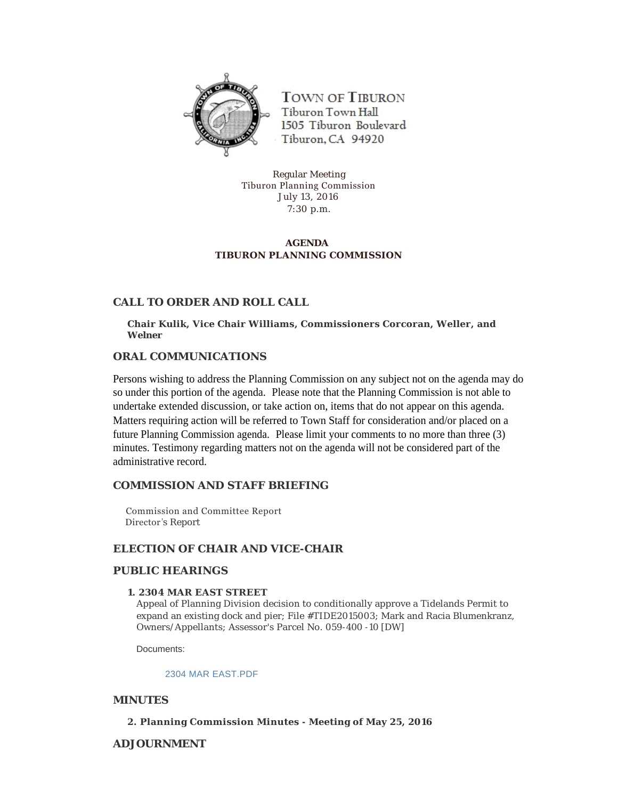

**TOWN OF TIBURON** Tiburon Town Hall 1505 Tiburon Boulevard Tiburon, CA 94920

Regular Meeting Tiburon Planning Commission July 13, 2016 7:30 p.m.

# **AGENDA TIBURON PLANNING COMMISSION**

# **CALL TO ORDER AND ROLL CALL**

**Chair Kulik, Vice Chair Williams, Commissioners Corcoran, Weller, and Welner**

# **ORAL COMMUNICATIONS**

Persons wishing to address the Planning Commission on any subject not on the agenda may do so under this portion of the agenda. Please note that the Planning Commission is not able to undertake extended discussion, or take action on, items that do not appear on this agenda. Matters requiring action will be referred to Town Staff for consideration and/or placed on a future Planning Commission agenda. Please limit your comments to no more than three (3) minutes. Testimony regarding matters not on the agenda will not be considered part of the administrative record.

# **COMMISSION AND STAFF BRIEFING**

 Commission and Committee Report Director 's Report

# **ELECTION OF CHAIR AND VICE-CHAIR**

# **PUBLIC HEARINGS**

# **1. 2304 MAR EAST STREET**

Appeal of Planning Division decision to conditionally approve a Tidelands Permit to expand an existing dock and pier; File #TIDE2015003; Mark and Racia Blumenkranz, Owners/Appellants; Assessor's Parcel No. 059-400 -10 [DW]

Documents:

#### [2304 MAR EAST.PDF](http://townoftiburon.org/AgendaCenter/ViewFile/Item/2122?fileID=1206)

# **MINUTES**

# **2. Planning Commission Minutes - Meeting of May 25, 2016**

# **ADJOURNMENT**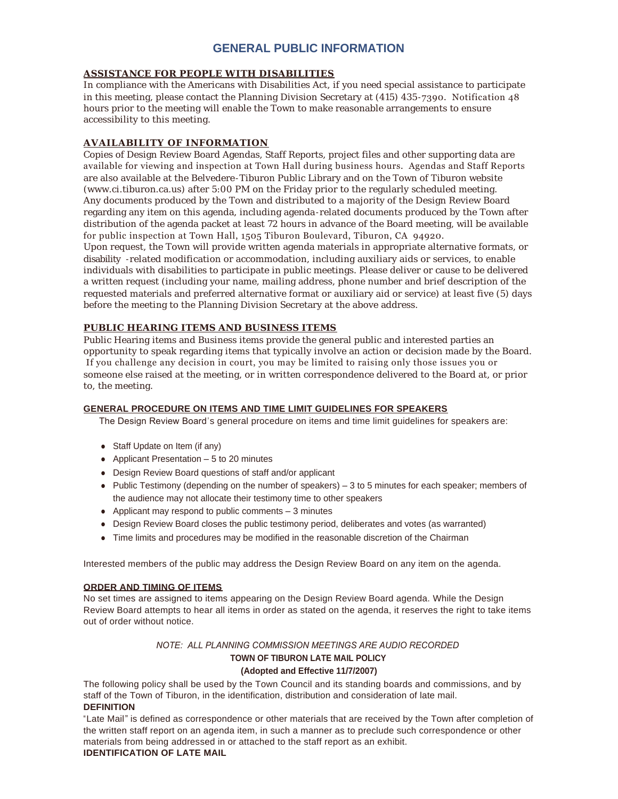# **GENERAL PUBLIC INFORMATION**

#### **ASSISTANCE FOR PEOPLE WITH DISABILITIES**

In compliance with the Americans with Disabilities Act, if you need special assistance to participate in this meeting, please contact the Planning Division Secretary at (415) 435 -7390. Notification 48 hours prior to the meeting will enable the Town to make reasonable arrangements to ensure accessibility to this meeting.

# **AVAILABILITY OF INFORMATION**

Copies of Design Review Board Agendas, Staff Reports, project files and other supporting data are available for viewing and inspection at Town Hall during business hours. Agendas and Staff Reports are also available at the Belvedere -Tiburon Public Library and on the Town of Tiburon website (www.ci.tiburon.ca.us) after 5:00 PM on the Friday prior to the regularly scheduled meeting. Any documents produced by the Town and distributed to a majority of the Design Review Board regarding any item on this agenda, including agenda -related documents produced by the Town after distribution of the agenda packet at least 72 hours in advance of the Board meeting, will be available for public inspection at Town Hall, 1505 Tiburon Boulevard, Tiburon, CA 94920.

Upon request, the Town will provide written agenda materials in appropriate alternative formats, or disability -related modification or accommodation, including auxiliary aids or services, to enable individuals with disabilities to participate in public meetings. Please deliver or cause to be delivered a written request (including your name, mailing address, phone number and brief description of the requested materials and preferred alternative format or auxiliary aid or service) at least five (5) days before the meeting to the Planning Division Secretary at the above address.

# **PUBLIC HEARING ITEMS AND BUSINESS ITEMS**

Public Hearing items and Business items provide the general public and interested parties an opportunity to speak regarding items that typically involve an action or decision made by the Board. If you challenge any decision in court, you may be limited to raising only those issues you or someone else raised at the meeting, or in written correspondence delivered to the Board at, or prior to, the meeting.

# **GENERAL PROCEDURE ON ITEMS AND TIME LIMIT GUIDELINES FOR SPEAKERS**

The Design Review Board's general procedure on items and time limit guidelines for speakers are:

- Staff Update on Item (if any)
- Applicant Presentation  $-5$  to 20 minutes
- Design Review Board questions of staff and/or applicant
- Public Testimony (depending on the number of speakers) 3 to 5 minutes for each speaker; members of the audience may not allocate their testimony time to other speakers
- Applicant may respond to public comments  $-3$  minutes
- Design Review Board closes the public testimony period, deliberates and votes (as warranted)
- <sup>l</sup> Time limits and procedures may be modified in the reasonable discretion of the Chairman

Interested members of the public may address the Design Review Board on any item on the agenda.

# **ORDER AND TIMING OF ITEMS**

No set times are assigned to items appearing on the Design Review Board agenda. While the Design Review Board attempts to hear all items in order as stated on the agenda, it reserves the right to take items out of order without notice.

#### *NOTE: ALL PLANNING COMMISSION MEETINGS ARE AUDIO RECORDED*

# **TOWN OF TIBURON LATE MAIL POLICY**

# **(Adopted and Effective 11/7/2007)**

The following policy shall be used by the Town Council and its standing boards and commissions, and by staff of the Town of Tiburon, in the identification, distribution and consideration of late mail.

# **DEFINITION**

"Late Mail" is defined as correspondence or other materials that are received by the Town after completion of the written staff report on an agenda item, in such a manner as to preclude such correspondence or other materials from being addressed in or attached to the staff report as an exhibit.

# **IDENTIFICATION OF LATE MAIL**